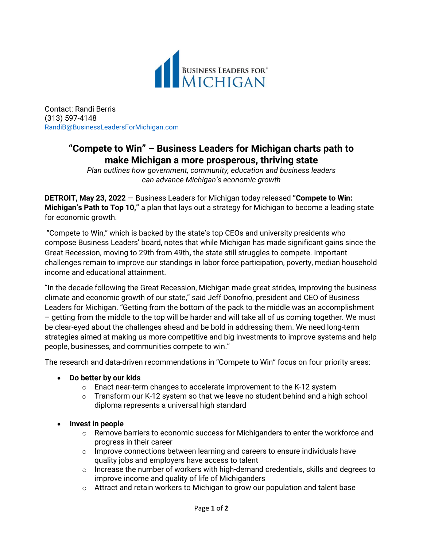

Contact: Randi Berris (313) 597-4148 [RandiB@BusinessLeadersForMichigan.com](mailto:RandiB@BusinessLeadersForichigan.com)

# **"Compete to Win" – Business Leaders for Michigan charts path to make Michigan a more prosperous, thriving state**

*Plan outlines how government, community, education and business leaders can advance Michigan's economic growth*

**DETROIT, May 23, 2022** — Business Leaders for Michigan today released **"Compete to Win: Michigan's Path to Top 10,"** a plan that lays out a strategy for Michigan to become a leading state for economic growth.

"Compete to Win," which is backed by the state's top CEOs and university presidents who compose Business Leaders' board, notes that while Michigan has made significant gains since the Great Recession, moving to 29th from 49th**,** the state still struggles to compete. Important challenges remain to improve our standings in labor force participation, poverty, median household income and educational attainment.

"In the decade following the Great Recession, Michigan made great strides, improving the business climate and economic growth of our state," said Jeff Donofrio, president and CEO of Business Leaders for Michigan. "Getting from the bottom of the pack to the middle was an accomplishment – getting from the middle to the top will be harder and will take all of us coming together. We must be clear-eyed about the challenges ahead and be bold in addressing them. We need long-term strategies aimed at making us more competitive and big investments to improve systems and help people, businesses, and communities compete to win."

The research and data-driven recommendations in "Compete to Win" focus on four priority areas:

- **Do better by our kids**
	- o Enact near-term changes to accelerate improvement to the K-12 system
	- $\circ$  Transform our K-12 system so that we leave no student behind and a high school diploma represents a universal high standard
- **Invest in people**
	- o Remove barriers to economic success for Michiganders to enter the workforce and progress in their career
	- $\circ$  Improve connections between learning and careers to ensure individuals have quality jobs and employers have access to talent
	- $\circ$  Increase the number of workers with high-demand credentials, skills and degrees to improve income and quality of life of Michiganders
	- $\circ$  Attract and retain workers to Michigan to grow our population and talent base